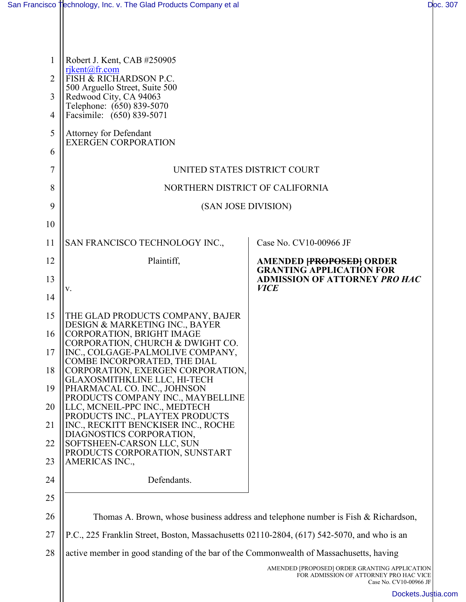| 1              | Robert J. Kent, CAB #250905                                                                                                                                                          |                                                                   |
|----------------|--------------------------------------------------------------------------------------------------------------------------------------------------------------------------------------|-------------------------------------------------------------------|
| $\overline{2}$ | $riken(a)$ fr.com<br>FISH & RICHARDSON P.C.                                                                                                                                          |                                                                   |
| 3              | 500 Arguello Street, Suite 500<br>Redwood City, CA 94063                                                                                                                             |                                                                   |
| 4              | Telephone: (650) 839-5070<br>Facsimile: (650) 839-5071                                                                                                                               |                                                                   |
| 5              | Attorney for Defendant                                                                                                                                                               |                                                                   |
| 6              | <b>EXERGEN CORPORATION</b>                                                                                                                                                           |                                                                   |
| 7              | UNITED STATES DISTRICT COURT                                                                                                                                                         |                                                                   |
| 8              | NORTHERN DISTRICT OF CALIFORNIA                                                                                                                                                      |                                                                   |
| 9              | (SAN JOSE DIVISION)                                                                                                                                                                  |                                                                   |
| 10             |                                                                                                                                                                                      |                                                                   |
| 11             | SAN FRANCISCO TECHNOLOGY INC.,                                                                                                                                                       | Case No. CV10-00966 JF                                            |
| 12             | Plaintiff,                                                                                                                                                                           | <b>AMENDED FROPOSEDI ORDER</b><br><b>GRANTING APPLICATION FOR</b> |
| 13             | V.                                                                                                                                                                                   | <b>ADMISSION OF ATTORNEY PRO HAC</b><br><b>VICE</b>               |
| 14             |                                                                                                                                                                                      |                                                                   |
| 15             | THE GLAD PRODUCTS COMPANY, BAJER<br>DESIGN & MARKETING INC., BAYER                                                                                                                   |                                                                   |
| 16             | CORPORATION, BRIGHT IMAGE<br>CORPORATION, CHURCH & DWIGHT CO.                                                                                                                        |                                                                   |
| 17             | INC., COLGAGE-PALMOLIVE COMPANY,<br>COMBE INCORPORATED, THE DIAL                                                                                                                     |                                                                   |
| 18             | CORPORATION, EXERGEN CORPORATION,<br>GLAXOSMITHKLINE LLC, HI-TECH                                                                                                                    |                                                                   |
| 19             | PHARMACAL CO. INC., JOHNSON<br>PRODUCTS COMPANY INC., MAYBELLINE                                                                                                                     |                                                                   |
| 20             | LLC, MCNEIL-PPC INC., MEDTECH<br>PRODUCTS INC., PLAYTEX PRODUCTS                                                                                                                     |                                                                   |
| 21             | INC., RECKITT BENCKISER INC., ROCHE<br>DIAGNOSTICS CORPORATION,                                                                                                                      |                                                                   |
| 22             | SOFTSHEEN-CARSON LLC, SUN<br>PRODUCTS CORPORATION, SUNSTART                                                                                                                          |                                                                   |
| 23             | AMERICAS INC.,<br>Defendants.                                                                                                                                                        |                                                                   |
| 24<br>25       |                                                                                                                                                                                      |                                                                   |
| 26             |                                                                                                                                                                                      |                                                                   |
| 27             | Thomas A. Brown, whose business address and telephone number is Fish & Richardson,                                                                                                   |                                                                   |
| 28             | P.C., 225 Franklin Street, Boston, Massachusetts 02110-2804, (617) 542-5070, and who is an<br>active member in good standing of the bar of the Commonwealth of Massachusetts, having |                                                                   |
|                |                                                                                                                                                                                      | AMENDED [PROPOSED] ORDER GRANTING APPLICATION                     |
|                |                                                                                                                                                                                      | FOR ADMISSION OF ATTORNEY PRO HAC VICE<br>Case No. CV10-00966 JF  |
|                |                                                                                                                                                                                      | Dockets.Jus                                                       |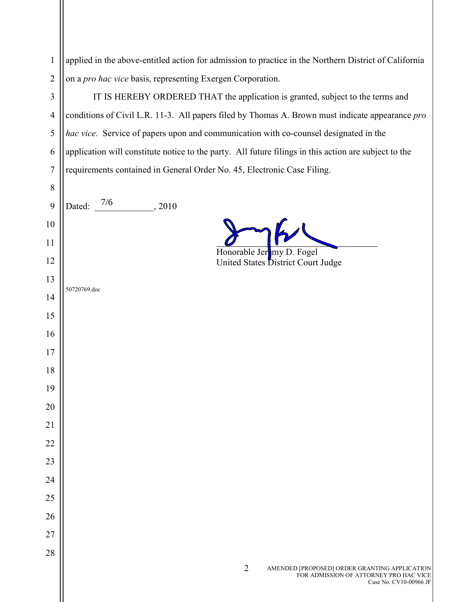| $\mathbf{1}$   | applied in the above-entitled action for admission to practice in the Northern District of California |
|----------------|-------------------------------------------------------------------------------------------------------|
| $\overline{2}$ | on a pro hac vice basis, representing Exergen Corporation.                                            |
| 3              | IT IS HEREBY ORDERED THAT the application is granted, subject to the terms and                        |
| $\overline{4}$ | conditions of Civil L.R. 11-3. All papers filed by Thomas A. Brown must indicate appearance pro       |
| 5              | hac vice. Service of papers upon and communication with co-counsel designated in the                  |
| 6              | application will constitute notice to the party. All future filings in this action are subject to the |
| 7              | requirements contained in General Order No. 45, Electronic Case Filing.                               |
| 8              |                                                                                                       |
| 9              | Dated: $7/6$<br>, 2010                                                                                |
| 10             |                                                                                                       |
| 11             | Honorable Jer <b>my</b> D. Fogel                                                                      |
| 12             | United States District Court Judge                                                                    |
| 13             | 50720769.doc                                                                                          |
| 14             |                                                                                                       |
| 15             |                                                                                                       |
| 16             |                                                                                                       |
| 17             |                                                                                                       |
| 18             |                                                                                                       |
| 19             |                                                                                                       |
| 20             |                                                                                                       |
| 21             |                                                                                                       |
| 22             |                                                                                                       |
| 23             |                                                                                                       |
| 24             |                                                                                                       |
| 25             |                                                                                                       |
| 26<br>27       |                                                                                                       |
| 28             |                                                                                                       |
|                | $\overline{2}$<br>AMENDED [PROPOSED] ORDER GRANTING APPLICATION                                       |
|                | FOR ADMISSION OF ATTORNEY PRO HAC VICE<br>Case No. CV10-00966 JF                                      |
|                |                                                                                                       |